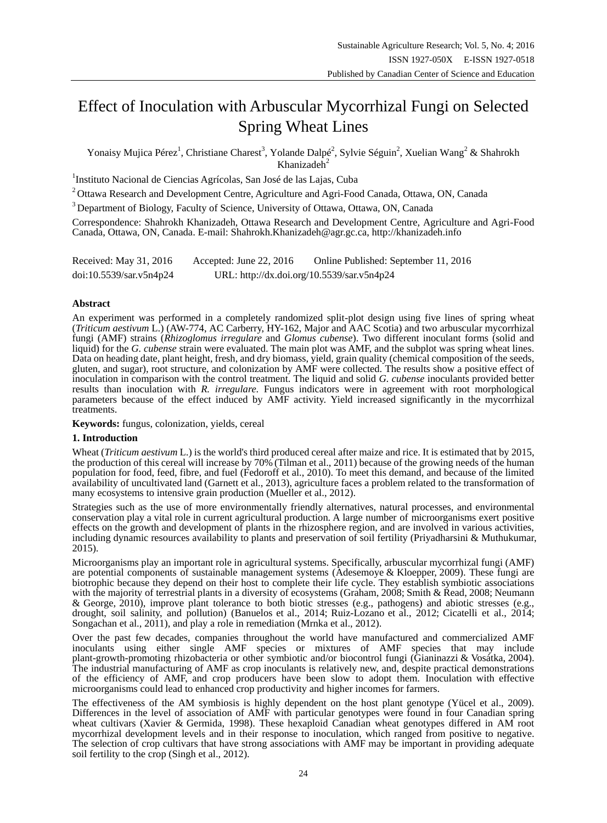# Effect of Inoculation with Arbuscular Mycorrhizal Fungi on Selected Spring Wheat Lines

Yonaisy Mujica Pérez<sup>1</sup>, Christiane Charest<sup>3</sup>, Yolande Dalpé<sup>2</sup>, Sylvie Séguin<sup>2</sup>, Xuelian Wang<sup>2</sup> & Shahrokh Khanizadeh<sup>2</sup>

<sup>1</sup>Instituto Nacional de Ciencias Agr *tolas*, San Jos éde las Lajas, Cuba

<sup>2</sup>Ottawa Research and Development Centre, Agriculture and Agri-Food Canada, Ottawa, ON, Canada

<sup>3</sup> Department of Biology, Faculty of Science, University of Ottawa, Ottawa, ON, Canada

Correspondence: Shahrokh Khanizadeh, Ottawa Research and Development Centre, Agriculture and Agri-Food Canada, Ottawa, ON, Canada. E-mail: Shahrokh.Khanizadeh@agr.gc.ca, http://khanizadeh.info

Received: May 31, 2016 Accepted: June 22, 2016 Online Published: September 11, 2016 doi:10.5539/sar.v5n4p24 URL: http://dx.doi.org/10.5539/sar.v5n4p24

## **Abstract**

An experiment was performed in a completely randomized split-plot design using five lines of spring wheat (*Triticum aestivum* L.) (AW-774, AC Carberry, HY-162, Major and AAC Scotia) and two arbuscular mycorrhizal fungi (AMF) strains (*Rhizoglomus irregulare* and *Glomus cubense*). Two different inoculant forms (solid and liquid) for the *G. cubense* strain were evaluated. The main plot was AMF, and the subplot was spring wheat lines. Data on heading date, plant height, fresh, and dry biomass, yield, grain quality (chemical composition of the seeds, gluten, and sugar), root structure, and colonization by AMF were collected. The results show a positive effect of inoculation in comparison with the control treatment. The liquid and solid *G. cubense* inoculants provided better results than inoculation with *R. irregulare*. Fungus indicators were in agreement with root morphological parameters because of the effect induced by AMF activity. Yield increased significantly in the mycorrhizal treatments.

**Keywords:** fungus, colonization, yields, cereal

## **1. Introduction**

Wheat (*Triticum aestivum* L.) is the world's third produced cereal after maize and rice. It is estimated that by 2015, the production of this cereal will increase by 70% (Tilman et al., 2011) because of the growing needs of the human population for food, feed, fibre, and fuel (Fedoroff et al., 2010). To meet this demand, and because of the limited availability of uncultivated land (Garnett et al., 2013), agriculture faces a problem related to the transformation of many ecosystems to intensive grain production (Mueller et al., 2012).

Strategies such as the use of more environmentally friendly alternatives, natural processes, and environmental conservation play a vital role in current agricultural production. A large number of microorganisms exert positive effects on the growth and development of plants in the rhizosphere region, and are involved in various activities, including dynamic resources availability to plants and preservation of soil fertility (Priyadharsini & Muthukumar, 2015).

Microorganisms play an important role in agricultural systems. Specifically, arbuscular mycorrhizal fungi (AMF) are potential components of sustainable management systems (Adesemoye & Kloepper, 2009). These fungi are biotrophic because they depend on their host to complete their life cycle. They establish symbiotic associations with the majority of terrestrial plants in a diversity of ecosystems (Graham, 2008; Smith & Read, 2008; Neumann & George, 2010), improve plant tolerance to both biotic stresses (e.g., pathogens) and abiotic stresses (e.g., drought, soil salinity, and pollution) (Banuelos et al., 2014; Ruiz-Lozano et al., 2012; Cicatelli et al., 2014; Songachan et al., 2011), and play a role in remediation (Mrnka et al., 2012).

Over the past few decades, companies throughout the world have manufactured and commercialized AMF inoculants using either single AMF species or mixtures of AMF species that may include plant-growth-promoting rhizobacteria or other symbiotic and/or biocontrol fungi (Gianinazzi & Vosátka, 2004). The industrial manufacturing of AMF as crop inoculants is relatively new, and, despite practical demonstrations of the efficiency of AMF, and crop producers have been slow to adopt them. Inoculation with effective microorganisms could lead to enhanced crop productivity and higher incomes for farmers.

The effectiveness of the AM symbiosis is highly dependent on the host plant genotype (Yücel et al., 2009). Differences in the level of association of AMF with particular genotypes were found in four Canadian spring wheat cultivars (Xavier & Germida, 1998). These hexaploid Canadian wheat genotypes differed in AM root mycorrhizal development levels and in their response to inoculation, which ranged from positive to negative. The selection of crop cultivars that have strong associations with AMF may be important in providing adequate soil fertility to the crop (Singh et al., 2012).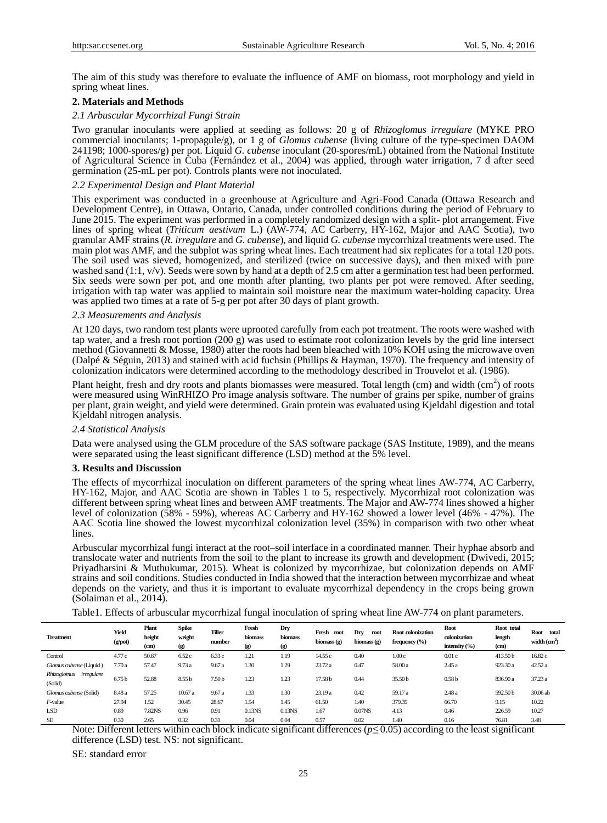The aim of this study was therefore to evaluate the influence of AMF on biomass, root morphology and yield in spring wheat lines.

## **2. Materials and Methods**

### *2.1 Arbuscular Mycorrhizal Fungi Strain*

Two granular inoculants were applied at seeding as follows: 20 g of *Rhizoglomus irregulare* (MYKE PRO commercial inoculants; 1-propagule/g)*,* or 1 g of *Glomus cubense* (living culture of the type-specimen DAOM 241198; 1000-spores/g) per pot. Liquid *G. cubense* inoculant (20-spores/mL) obtained from the National Institute of Agricultural Science in Cuba (Fernández et al., 2004) was applied, through water irrigation, 7 d after seed germination (25-mL per pot). Controls plants were not inoculated.

#### *2.2 Experimental Design and Plant Material*

This experiment was conducted in a greenhouse at Agriculture and Agri-Food Canada (Ottawa Research and Development Centre), in Ottawa, Ontario, Canada, under controlled conditions during the period of February to June 2015. The experiment was performed in a completely randomized design with a split- plot arrangement. Five lines of spring wheat (*Triticum aestivum* L.) (AW-774, AC Carberry, HY-162, Major and AAC Scotia), two granular AMF strains (*R. irregulare* and *G. cubense*), and liquid *G. cubense* mycorrhizal treatments were used. The main plot was AMF, and the subplot was spring wheat lines. Each treatment had six replicates for a total 120 pots. The soil used was sieved, homogenized, and sterilized (twice on successive days), and then mixed with pure washed sand (1:1, v/v). Seeds were sown by hand at a depth of 2.5 cm after a germination test had been performed. Six seeds were sown per pot, and one month after planting, two plants per pot were removed. After seeding, irrigation with tap water was applied to maintain soil moisture near the maximum water-holding capacity. Urea was applied two times at a rate of 5-g per pot after 30 days of plant growth.

#### *2.3 Measurements and Analysis*

At 120 days, two random test plants were uprooted carefully from each pot treatment. The roots were washed with tap water, and a fresh root portion (200 g) was used to estimate root colonization levels by the grid line intersect method (Giovannetti & Mosse, 1980) after the roots had been bleached with 10% KOH using the microwave oven (Dalpé& Séguin, 2013) and stained with acid fuchsin (Phillips & Hayman, 1970). The frequency and intensity of colonization indicators were determined according to the methodology described in Trouvelot et al. (1986).

Plant height, fresh and dry roots and plants biomasses were measured. Total length (cm) and width (cm<sup>2</sup>) of roots were measured using WinRHIZO Pro image analysis software. The number of grains per spike, number of grains per plant, grain weight, and yield were determined. Grain protein was evaluated using Kjeldahl digestion and total Kjeldahl nitrogen analysis.

#### *2.4 Statistical Analysis*

Data were analysed using the GLM procedure of the SAS software package (SAS Institute, 1989), and the means were separated using the least significant difference (LSD) method at the 5% level.

#### **3. Results and Discussion**

The effects of mycorrhizal inoculation on different parameters of the spring wheat lines AW-774, AC Carberry, HY-162, Major, and AAC Scotia are shown in Tables 1 to 5, respectively. Mycorrhizal root colonization was different between spring wheat lines and between AMF treatments. The Major and AW-774 lines showed a higher level of colonization (58% - 59%), whereas AC Carberry and HY-162 showed a lower level (46% - 47%). The AAC Scotia line showed the lowest mycorrhizal colonization level (35%) in comparison with two other wheat lines.

Arbuscular mycorrhizal fungi interact at the root–soil interface in a coordinated manner. Their hyphae absorb and translocate water and nutrients from the soil to the plant to increase its growth and development (Dwivedi, 2015; Priyadharsini & Muthukumar, 2015). Wheat is colonized by mycorrhizae, but colonization depends on AMF strains and soil conditions. Studies conducted in India showed that the interaction between mycorrhizae and wheat depends on the variety, and thus it is important to evaluate mycorrhizal dependency in the crops being grown (Solaiman et al., 2014).

Table1. Effects of arbuscular mycorrhizal fungal inoculation of spring wheat line AW-774 on plant parameters.

| <b>Treatment</b>                     | Yield<br>(g <sub>/</sub> pot) | Plant<br>height<br>(c <sub>m</sub> ) | Spike<br>weight<br>$\left( 9\right)$ | Tiller<br>number  | Fresh<br>biomass<br>$\left( \mathbf{g} \right)$ | Dry<br>biomass<br>$\left( \mathbf{g} \right)$ | Fresh<br>root<br>biomass $(g)$ | Drv<br>root<br>biomass (g) | Root colonization<br>frequency $(\% )$ | Root<br>colonization<br>intensity $(\% )$ | Root total<br>length<br>(c <sub>m</sub> ) | Root<br>total<br>width $(cm2)$ |
|--------------------------------------|-------------------------------|--------------------------------------|--------------------------------------|-------------------|-------------------------------------------------|-----------------------------------------------|--------------------------------|----------------------------|----------------------------------------|-------------------------------------------|-------------------------------------------|--------------------------------|
| Control                              | 4.77 c                        | 50.87                                | 6.52c                                | 6.33c             | 1.21                                            | 1.19                                          | 14.55 c                        | 0.40                       | 1.00c                                  | 0.01c                                     | 413.50 b                                  | 16.82c                         |
| Glomus cubense (Liquid)              | 7.70a                         | 57.47                                | 9.73a                                | 9.67a             | 1.30                                            | 1.29                                          | 23.72 a                        | 0.47                       | 58.00 a                                | 2.45 a                                    | 923.30 a                                  | 42.52 a                        |
| irregulare<br>Rhizoglomus<br>(Solid) | 6.75 <sub>b</sub>             | 52.88                                | 8.55 <sub>b</sub>                    | 7.50 <sub>b</sub> | 1.23                                            | 1.23                                          | 17.58 b                        | 0.44                       | 35.50 <sub>b</sub>                     | 0.58 <sub>b</sub>                         | 836.90 a                                  | 37.23 a                        |
| Glomus cubense (Solid)               | 8.48 a                        | 57.25                                | 10.67a                               | 9.67a             | 1.33                                            | 1.30                                          | 23.19 a                        | 0.42                       | 59.17 a                                | 2.48 a                                    | 592.50 b                                  | 30.06 ab                       |
| $F$ -value                           | 27.94                         | 1.52                                 | 30.45                                | 28.67             | 1.54                                            | 1.45                                          | 61.50                          | 1.40                       | 379.39                                 | 66.70                                     | 9.15                                      | 10.22                          |
| LSD                                  | 0.89                          | 7.82NS                               | 0.96                                 | 0.91              | $0.13$ NS                                       | $0.13$ NS                                     | 1.67                           | $0.07$ NS                  | 4.13                                   | 0.46                                      | 226.59                                    | 10.27                          |
| <b>SE</b>                            | 0.30                          | 2.65                                 | 0.32                                 | 0.31              | 0.04                                            | 0.04                                          | 0.57                           | 0.02                       | 1.40                                   | 0.16                                      | 76.81                                     | 3.48                           |

Note: Different letters within each block indicate significant differences (*p≤* 0.05) according to the least significant difference (LSD) test. NS: not significant.

SE: standard error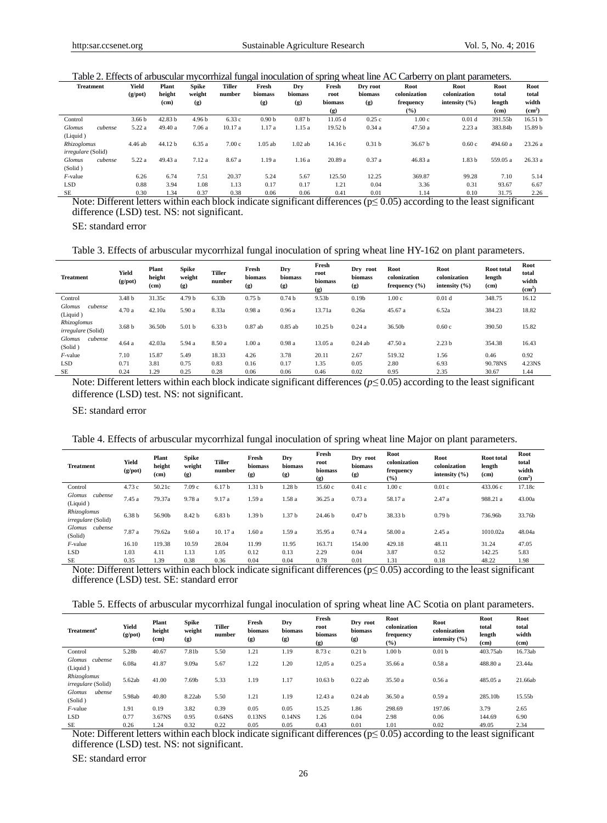Table 2. Effects of arbuscular mycorrhizal fungal inoculation of spring wheat line AC Carberry on plant parameters.

| <b>Treatment</b>          | Yield<br>(g <sub>/pot</sub> ) | Plant<br>height    | <b>Spike</b><br>weight | <b>Tiller</b><br>number | Fresh<br>biomass  | Dry<br>biomass    | Fresh<br>root               | Dry root<br>biomass | Root<br>colonization | Root<br>colonization | Root<br>total | Root<br>total      |
|---------------------------|-------------------------------|--------------------|------------------------|-------------------------|-------------------|-------------------|-----------------------------|---------------------|----------------------|----------------------|---------------|--------------------|
|                           |                               | (cm)               | (g)                    |                         | (g)               | (g)               | biomass                     | (g)                 | frequency            | intensity $(\% )$    | length        | width              |
|                           |                               |                    |                        |                         |                   |                   | $\left( \mathbf{g} \right)$ |                     | (%)                  |                      | (cm)          | (cm <sup>2</sup> ) |
| Control                   | 3.66 <sub>b</sub>             | 42.83 <sub>b</sub> | 4.96 <sub>b</sub>      | 6.33 c                  | 0.90 <sub>b</sub> | 0.87 <sub>b</sub> | 11.05d                      | 0.25c               | 1.00c                | 0.01 <sub>d</sub>    | 391.55b       | 16.51 <sub>b</sub> |
| Glomus<br>cubense         | 5.22 a                        | 49.40 a            | 7.06 a                 | 10.17a                  | 1.17 a            | 1.15 a            | 19.52 <sub>b</sub>          | 0.34a               | 47.50a               | 2.23a                | 383.84b       | 15.89 b            |
| (Liquid)                  |                               |                    |                        |                         |                   |                   |                             |                     |                      |                      |               |                    |
| Rhizoglomus               | 4.46 ab                       | 44.12 b            | 6.35a                  | 7.00c                   | $1.05$ ab         | $1.02$ ab         | 14.16c                      | 0.31 <sub>b</sub>   | 36.67 <sub>b</sub>   | 0.60c                | 494.60 a      | 23.26a             |
| <i>irregulare</i> (Solid) |                               |                    |                        |                         |                   |                   |                             |                     |                      |                      |               |                    |
| Glomus<br>cubense         | 5.22 a                        | 49.43 a            | 7.12a                  | 8.67 a                  | 1.19a             | 1.16a             | 20.89 a                     | 0.37a               | 46.83a               | 1.83 <sub>b</sub>    | 559.05 a      | 26.33a             |
| (Solid)                   |                               |                    |                        |                         |                   |                   |                             |                     |                      |                      |               |                    |
| $F$ -value                | 6.26                          | 6.74               | 7.51                   | 20.37                   | 5.24              | 5.67              | 125.50                      | 12.25               | 369.87               | 99.28                | 7.10          | 5.14               |
| <b>LSD</b>                | 0.88                          | 3.94               | 1.08                   | 1.13                    | 0.17              | 0.17              | 1.21                        | 0.04                | 3.36                 | 0.31                 | 93.67         | 6.67               |
| <b>SE</b>                 | 0.30                          | 1.34               | 0.37                   | 0.38                    | 0.06              | 0.06              | 0.41                        | 0.01                | 1.14                 | 0.10                 | 31.75         | 2.26               |

 $\frac{6.30}{1.34}$   $\frac{1.34}{0.37}$   $\frac{0.38}{0.06}$   $\frac{0.06}{0.06}$   $\frac{0.41}{0.01}$   $\frac{0.01}{0.01}$   $\frac{1.14}{0.10}$   $\frac{0.10}{31.75}$   $\frac{2.26}{0.26}$ <br>Note: Different letters within each block indicate significant differences ( difference (LSD) test. NS: not significant.

SE: standard error

Table 3. Effects of arbuscular mycorrhizal fungal inoculation of spring wheat line HY-162 on plant parameters.

| <b>Treatment</b>                     | Yield<br>(g <sub>/pot</sub> ) | Plant<br>height<br>(c <sub>m</sub> ) | <b>Spike</b><br>weight<br>(g) | Tiller<br>number  | Fresh<br><b>biomass</b><br>(g) | Dry<br>biomass<br>(g) | Fresh<br>root<br>biomass<br>(g) | Dry<br>root<br>biomass<br>(g) | Root<br>colonization<br>frequency $(\% )$ | Root<br>colonization<br>intensity $(\% )$ | <b>Root</b> total<br>length<br>$\rm (cm)$ | Root<br>total<br>width<br>(cm <sup>2</sup> ) |
|--------------------------------------|-------------------------------|--------------------------------------|-------------------------------|-------------------|--------------------------------|-----------------------|---------------------------------|-------------------------------|-------------------------------------------|-------------------------------------------|-------------------------------------------|----------------------------------------------|
| Control                              | 3.48 <sub>b</sub>             | 31.35c                               | 4.79 <sub>b</sub>             | 6.33 <sub>b</sub> | 0.75 <sub>b</sub>              | 0.74 <sub>b</sub>     | 9.53b                           | 0.19 <sub>b</sub>             | 1.00c                                     | 0.01 <sub>d</sub>                         | 348.75                                    | 16.12                                        |
| <b>Glomus</b><br>cubense<br>(Liquid) | 4.70 a                        | 42.10a                               | 5.90 a                        | 8.33a             | 0.98a                          | 0.96a                 | 13.71a                          | 0.26a                         | 45.67 a                                   | 6.52a                                     | 384.23                                    | 18.82                                        |
| Rhizoglomus<br>irregulare (Solid)    | 3.68 <sub>b</sub>             | 36.50b                               | 5.01 <sub>b</sub>             | 6.33 <sub>b</sub> | $0.87$ ab                      | $0.85$ ab             | 10.25 <sub>b</sub>              | 0.24a                         | 36.50b                                    | 0.60c                                     | 390.50                                    | 15.82                                        |
| cubense<br><b>Glomus</b><br>(Solid)  | 4.64a                         | 42.03a                               | 5.94 a                        | 8.50 a            | 1.00a                          | 0.98a                 | 13.05a                          | $0.24$ ab                     | 47.50a                                    | 2.23 <sub>b</sub>                         | 354.38                                    | 16.43                                        |
| $F$ -value                           | 7.10                          | 15.87                                | 5.49                          | 18.33             | 4.26                           | 3.78                  | 20.11                           | 2.67                          | 519.32                                    | 1.56                                      | 0.46                                      | 0.92                                         |
| <b>LSD</b>                           | 0.71                          | 3.81                                 | 0.75                          | 0.83              | 0.16                           | 0.17                  | 1.35                            | 0.05                          | 2.80                                      | 6.93                                      | 90.78NS                                   | 4.23NS                                       |
| <b>SE</b>                            | 0.24                          | 1.29                                 | 0.25                          | 0.28              | 0.06                           | 0.06                  | 0.46                            | 0.02                          | 0.95                                      | 2.35                                      | 30.67                                     | 1.44                                         |

Note: Different letters within each block indicate significant differences (*p≤* 0.05) according to the least significant difference (LSD) test. NS: not significant.

SE: standard error

Table 4. Effects of arbuscular mycorrhizal fungal inoculation of spring wheat line Major on plant parameters.

| <b>Treatment</b>                  | Yield<br>$(g$ /pot) | Plant<br>height<br>(c <sub>m</sub> ) | <b>Spike</b><br>weight<br>(g) | <b>Tiller</b><br>number | Fresh<br>biomass<br>(g) | Dry<br>biomass<br>(g) | Fresh<br>root<br>biomass<br>(g) | Dry root<br>biomass<br>(g) | Root<br>colonization<br>frequency<br>$(\%)$ | Root<br>colonization<br>intensity $(\% )$ | <b>Root</b> total<br>length<br>(c <sub>m</sub> ) | Root<br>total<br>width<br>(cm <sup>2</sup> ) |
|-----------------------------------|---------------------|--------------------------------------|-------------------------------|-------------------------|-------------------------|-----------------------|---------------------------------|----------------------------|---------------------------------------------|-------------------------------------------|--------------------------------------------------|----------------------------------------------|
| Control                           | 4.73c               | 50.21c                               | 7.09c                         | 6.17 <sub>b</sub>       | 1.31 <sub>b</sub>       | 1.28 b                | 15.60c                          | 0.41c                      | 1.00c                                       | 0.01c                                     | 433.06 c                                         | 17.18c                                       |
| Glomus<br>cubense<br>(Liquid)     | 7.45 a              | 79.37a                               | 9.78 a                        | 9.17 a                  | 1.59 a                  | 1.58 a                | 36.25a                          | 0.73a                      | 58.17 a                                     | 2.47a                                     | 988.21 a                                         | 43.00a                                       |
| Rhizoglomus<br>irregulare (Solid) | 6.38 <sub>b</sub>   | 56.90b                               | 8.42 b                        | 6.83 <sub>b</sub>       | 1.39 <sub>b</sub>       | 1.37 <sub>b</sub>     | 24.46 b                         | 0.47 <sub>b</sub>          | 38.33 b                                     | 0.79 <sub>b</sub>                         | 736.96b                                          | 33.76b                                       |
| Glomus<br>cubense<br>(Solid)      | 7.87 a              | 79.62a                               | 9.60a                         | 10.17 a                 | 1.60a                   | 1.59 a                | 35.95 a                         | 0.74a                      | 58.00 a                                     | 2.45a                                     | 1010.02a                                         | 48.04a                                       |
| $F$ -value                        | 16.10               | 119.38                               | 10.59                         | 28.04                   | 11.99                   | 11.95                 | 163.71                          | 154.00                     | 429.18                                      | 48.11                                     | 31.24                                            | 47.05                                        |
| <b>LSD</b>                        | 1.03                | 4.11                                 | 1.13                          | 1.05                    | 0.12                    | 0.13                  | 2.29                            | 0.04                       | 3.87                                        | 0.52                                      | 142.25                                           | 5.83                                         |
| <b>SE</b>                         | 0.35                | 1.39                                 | 0.38                          | 0.36                    | 0.04                    | 0.04                  | 0.78                            | 0.01                       | 1.31                                        | 0.18                                      | 48.22                                            | 1.98                                         |

 $\frac{0.35}{0.35}$   $\frac{1.39}{0.38}$   $\frac{0.38}{0.36}$   $\frac{0.04}{0.04}$   $\frac{0.78}{0.78}$   $\frac{0.01}{0.13}$   $\frac{0.18}{0.18}$   $\frac{48.22}{0.82}$   $\frac{1.98}{0.19}$ <br>Note: Different letters within each block indicate significant differences ( difference (LSD) test. SE: standard error

Table 5. Effects of arbuscular mycorrhizal fungal inoculation of spring wheat line AC Scotia on plant parameters.

| <b>Treatment<sup>a</sup></b>             | Yield<br>(g <sub>/</sub> pot) | Plant<br>height<br>(c <sub>m</sub> ) | <b>Spike</b><br>weight<br>(g) | Tiller<br>number | Fresh<br>biomass<br>(g) | Dry<br>biomass<br>(g) | Fresh<br>root<br>biomass<br>$\left( \mathbf{g} \right)$ | Dry root<br>biomass<br>(g) | Root<br>colonization<br>frequency<br>(%) | Root<br>colonization<br>intensity $(\% )$ | Root<br>total<br>length<br>(c <sub>m</sub> ) | Root<br>total<br>width<br>(cm) |
|------------------------------------------|-------------------------------|--------------------------------------|-------------------------------|------------------|-------------------------|-----------------------|---------------------------------------------------------|----------------------------|------------------------------------------|-------------------------------------------|----------------------------------------------|--------------------------------|
| Control                                  | 5.28b                         | 40.67                                | 7.81b                         | 5.50             | 1.21                    | 1.19                  | 8.73 c                                                  | 0.21 <sub>b</sub>          | 1.00 <sub>b</sub>                        | 0.01 <sub>b</sub>                         | 403.75ab                                     | 16.73ab                        |
| <b>Glomus</b><br>cubense<br>(Liquid)     | 6.08a                         | 41.87                                | 9.09a                         | 5.67             | 1.22                    | 1.20                  | 12,05 a                                                 | 0.25a                      | 35.66 a                                  | 0.58a                                     | 488.80 a                                     | 23.44a                         |
| Rhizoglomus<br><i>irregulare</i> (Solid) | 5.62ab                        | 41.00                                | 7.69b                         | 5.33             | 1.19                    | 1.17                  | 10.63 <sub>b</sub>                                      | $0.22$ ab                  | 35.50 a                                  | 0.56a                                     | 485.05 a                                     | 21.66ab                        |
| ubense<br><b>Glomus</b><br>(Solid)       | 5.98ab                        | 40.80                                | 8.22ab                        | 5.50             | 1.21                    | 1.19                  | 12.43 a                                                 | $0.24$ ab                  | 36.50 a                                  | 0.59a                                     | 285.10b                                      | 15.55b                         |
| $F$ -value                               | 1.91                          | 0.19                                 | 3.82                          | 0.39             | 0.05                    | 0.05                  | 15.25                                                   | 1.86                       | 298.69                                   | 197.06                                    | 3.79                                         | 2.65                           |
| <b>LSD</b>                               | 0.77                          | 3.67NS                               | 0.95                          | 0.64NS           | 0.13 <sub>NS</sub>      | 0.14 <sub>NS</sub>    | 1.26                                                    | 0.04                       | 2.98                                     | 0.06                                      | 144.69                                       | 6.90                           |
| <b>SE</b>                                | 0.26                          | 1.24                                 | 0.32                          | 0.22             | 0.05                    | 0.05                  | 0.43                                                    | 0.01                       | 1.01                                     | 0.02                                      | 49.05                                        | 2.34                           |

SE  $0.26$  1.24 0.32 0.22 0.05 0.05 0.43 0.01 1.01 0.02 49.05 2.34<br>Note: Different letters within each block indicate significant differences (p≤ 0.05) according to the least significant difference (LSD) test. NS: not significant.

SE: standard error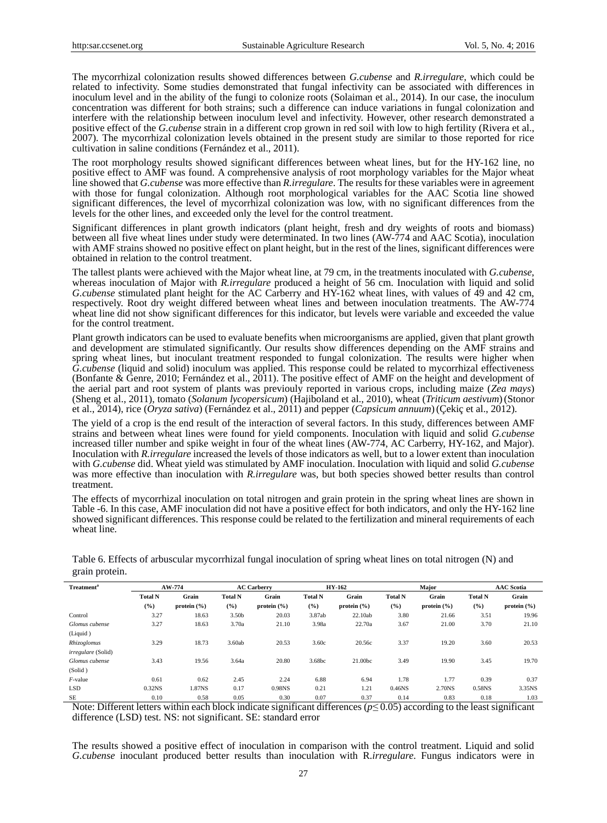The mycorrhizal colonization results showed differences between *G.cubense* and *R.irregulare,* which could be related to infectivity. Some studies demonstrated that fungal infectivity can be associated with differences in inoculum level and in the ability of the fungi to colonize roots (Solaiman et al., 2014). In our case, the inoculum concentration was different for both strains; such a difference can induce variations in fungal colonization and interfere with the relationship between inoculum level and infectivity. However, other research demonstrated a positive effect of the *G.cubense* strain in a different crop grown in red soil with low to high fertility (Rivera et al., 2007). The mycorrhizal colonization levels obtained in the present study are similar to those reported for rice cultivation in saline conditions (Fernández et al., 2011).

The root morphology results showed significant differences between wheat lines, but for the HY-162 line, no positive effect to AMF was found. A comprehensive analysis of root morphology variables for the Major wheat line showed that *G.cubense* was more effective than *R.irregulare*. The results for these variables were in agreement with those for fungal colonization. Although root morphological variables for the AAC Scotia line showed significant differences, the level of mycorrhizal colonization was low, with no significant differences from the levels for the other lines, and exceeded only the level for the control treatment.

Significant differences in plant growth indicators (plant height, fresh and dry weights of roots and biomass) between all five wheat lines under study were determinated. In two lines (AW-774 and AAC Scotia), inoculation with AMF strains showed no positive effect on plant height, but in the rest of the lines, significant differences were obtained in relation to the control treatment.

The tallest plants were achieved with the Major wheat line, at 79 cm, in the treatments inoculated with *G.cubense,*  whereas inoculation of Major with *R.irregulare* produced a height of 56 cm. Inoculation with liquid and solid *G.cubense* stimulated plant height for the AC Carberry and HY-162 wheat lines, with values of 49 and 42 cm, respectively. Root dry weight differed between wheat lines and between inoculation treatments. The AW-774 wheat line did not show significant differences for this indicator, but levels were variable and exceeded the value for the control treatment.

Plant growth indicators can be used to evaluate benefits when microorganisms are applied, given that plant growth and development are stimulated significantly. Our results show differences depending on the AMF strains and spring wheat lines, but inoculant treatment responded to fungal colonization. The results were higher when *G.cubense* (liquid and solid) inoculum was applied. This response could be related to mycorrhizal effectiveness (Bonfante & Genre, 2010; Fernández et al., 2011). The positive effect of AMF on the height and development of the aerial part and root system of plants was previouly reported in various crops, including maize (*Zea mays*) (Sheng et al., 2011), tomato (*Solanum lycopersicum*) (Hajiboland et al., 2010), wheat (*Triticum aestivum*)(Stonor et al., 2014), rice (*Oryza sativa*) (Fernández et al., 2011) and pepper (*Capsicum annuum*)(Çekiç et al., 2012).

The yield of a crop is the end result of the interaction of several factors. In this study, differences between AMF strains and between wheat lines were found for yield components. Inoculation with liquid and solid *G.cubense* increased tiller number and spike weight in four of the wheat lines (AW-774, AC Carberry, HY-162, and Major). Inoculation with *R.irregulare* increased the levels of those indicators as well, but to a lower extent than inoculation with *G.cubense* did. Wheat yield was stimulated by AMF inoculation. Inoculation with liquid and solid *G.cubense* was more effective than inoculation with *R.irregulare* was, but both species showed better results than control treatment.

The effects of mycorrhizal inoculation on total nitrogen and grain protein in the spring wheat lines are shown in Table -6. In this case, AMF inoculation did not have a positive effect for both indicators, and only the HY-162 line showed significant differences. This response could be related to the fertilization and mineral requirements of each wheat line.

| <b>Treatment<sup>a</sup></b> |                       | AW-774                   |                       | <b>AC Carberry</b>       |                       | <b>HY-162</b>            |                       | Major                    | <b>AAC</b> Scotia     |                          |  |
|------------------------------|-----------------------|--------------------------|-----------------------|--------------------------|-----------------------|--------------------------|-----------------------|--------------------------|-----------------------|--------------------------|--|
|                              | <b>Total N</b><br>(%) | Grain<br>protein $(\% )$ | <b>Total N</b><br>(%) | Grain<br>protein $(\% )$ | <b>Total N</b><br>(%) | Grain<br>protein $(\% )$ | <b>Total N</b><br>(%) | Grain<br>protein $(\% )$ | <b>Total N</b><br>(%) | Grain<br>protein $(\% )$ |  |
| Control                      | 3.27                  | 18.63                    | 3.50 <sub>b</sub>     | 20.03                    | 3.87ab                | 22.10ab                  | 3.80                  | 21.66                    | 3.51                  | 19.96                    |  |
| Glomus cubense               | 3.27                  | 18.63                    | 3.70a                 | 21.10                    | 3.98a                 | 22.70a                   | 3.67                  | 21.00                    | 3.70                  | 21.10                    |  |
| (Liquid)                     |                       |                          |                       |                          |                       |                          |                       |                          |                       |                          |  |
| Rhizoglomus                  | 3.29                  | 18.73                    | 3.60ab                | 20.53                    | 3.60c                 | 20.56c                   | 3.37                  | 19.20                    | 3.60                  | 20.53                    |  |
| <i>irregulare</i> (Solid)    |                       |                          |                       |                          |                       |                          |                       |                          |                       |                          |  |
| Glomus cubense               | 3.43                  | 19.56                    | 3.64a                 | 20.80                    | 3.68bc                | 21.00bc                  | 3.49                  | 19.90                    | 3.45                  | 19.70                    |  |
| (Solid)                      |                       |                          |                       |                          |                       |                          |                       |                          |                       |                          |  |
| $F$ -value                   | 0.61                  | 0.62                     | 2.45                  | 2.24                     | 6.88                  | 6.94                     | 1.78                  | 1.77                     | 0.39                  | 0.37                     |  |
| <b>LSD</b>                   | 0.32 <sub>NS</sub>    | 1.87NS                   | 0.17                  | 0.98NS                   | 0.21                  | 1.21                     | $0.46$ NS             | 2.70NS                   | 0.58NS                | 3.35NS                   |  |
| <b>SE</b>                    | 0.10                  | 0.58                     | 0.05                  | 0.30                     | 0.07                  | 0.37                     | 0.14                  | 0.83                     | 0.18                  | 1.03                     |  |

Table 6. Effects of arbuscular mycorrhizal fungal inoculation of spring wheat lines on total nitrogen (N) and grain protein.

Note: Different letters within each block indicate significant differences (*p≤* 0.05) according to the least significant difference (LSD) test. NS: not significant. SE: standard error

The results showed a positive effect of inoculation in comparison with the control treatment. Liquid and solid *G.cubense* inoculant produced better results than inoculation with R.*irregulare*. Fungus indicators were in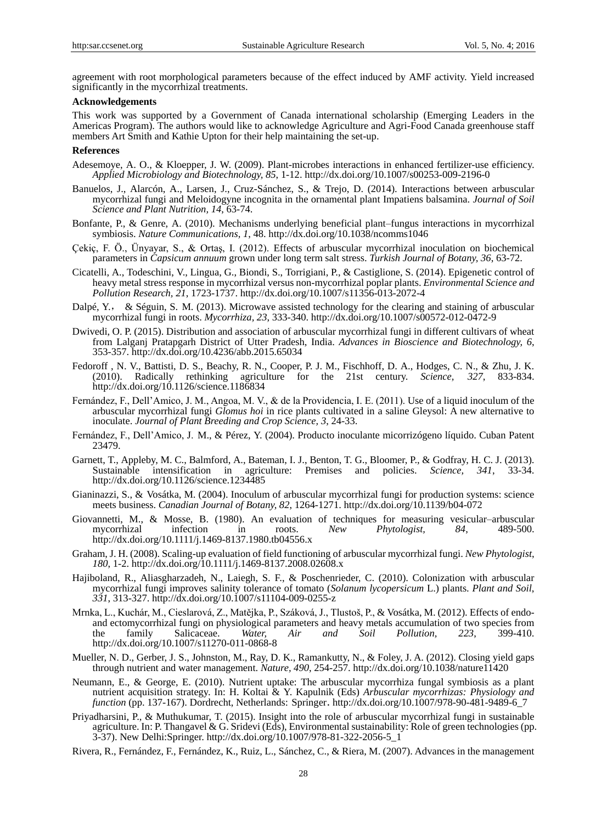agreement with root morphological parameters because of the effect induced by AMF activity. Yield increased significantly in the mycorrhizal treatments.

## **Acknowledgements**

This work was supported by a Government of Canada international scholarship (Emerging Leaders in the Americas Program). The authors would like to acknowledge Agriculture and Agri-Food Canada greenhouse staff members Art Smith and Kathie Upton for their help maintaining the set-up.

#### **References**

- Adesemoye, A. O., & Kloepper, J. W. (2009). Plant-microbes interactions in enhanced fertilizer-use efficiency. *Applied Microbiology and Biotechnology, 85*, 1-12. http://dx.doi.org/10.1007/s00253-009-2196-0
- Banuelos, J., Alarcón, A., Larsen, J., Cruz-Sánchez, S., & Trejo, D. (2014). Interactions between arbuscular mycorrhizal fungi and Meloidogyne incognita in the ornamental plant Impatiens balsamina. *Journal of Soil Science and Plant Nutrition, 14*, 63-74.
- Bonfante, P., & Genre, A. (2010). Mechanisms underlying beneficial plant–fungus interactions in mycorrhizal symbiosis. *Nature Communications, 1*, 48. http://dx.doi.org/10.1038/ncomms1046
- Çekiç, F. Ö., Ünyayar, S., & Ortaş, I. (2012). Effects of arbuscular mycorrhizal inoculation on biochemical parameters in *Capsicum annuum* grown under long term salt stress. *Turkish Journal of Botany, 36*, 63-72.
- Cicatelli, A., Todeschini, V., Lingua, G., Biondi, S., Torrigiani, P., & Castiglione, S. (2014). Epigenetic control of heavy metal stress response in mycorrhizal versus non-mycorrhizal poplar plants. *Environmental Science and Pollution Research, 21*, 1723-1737. http://dx.doi.org/10.1007/s11356-013-2072-4
- Dalpé, Y., & Séguin, S. M. (2013). [Microwave assisted technology for the clearing and staining of arbuscular](http://dx.doi.org/10.1007/s00572-012-0472-9)  [mycorrhizal fungi in roots.](http://dx.doi.org/10.1007/s00572-012-0472-9) *Mycorrhiza, 23*, 333-340. http://dx.doi.org/10.1007/s00572-012-0472-9
- Dwivedi, O. P. (2015). Distribution and association of arbuscular mycorrhizal fungi in different cultivars of wheat from Lalganj Pratapgarh District of Utter Pradesh, India. *Advances in Bioscience and Biotechnology, 6*, 353-357. http://dx.doi.org/10.4236/abb.2015.65034
- Fedoroff , N. V., Battisti, D. S., Beachy, R. N., Cooper, P. J. M., Fischhoff, D. A., Hodges, C. N., & Zhu, J. K. (2010). Radically rethinking agriculture for the 21st century. *Science, 327*, 833-834. http://dx.doi.org/10.1126/science.1186834
- Fernández, F., Dell'Amico, J. M., Angoa, M. V., & de la Providencia, I. E. (2011). Use of a liquid inoculum of the arbuscular mycorrhizal fungi *Glomus hoi* in rice plants cultivated in a saline Gleysol: A new alternative to inoculate. *Journal of Plant Breeding and Crop Science, 3*, 24-33.
- Fernández, F., Dell'Amico, J. M., & Pérez, Y. (2004). Producto inoculante micorrizógeno líquido. Cuban Patent 23479.
- Garnett, T., Appleby, M. C., Balmford, A., Bateman, I. J., Benton, T. G., Bloomer, P., & Godfray, H. C. J. (2013). Sustainable intensification in agriculture: Premises and policies. *Science, 341*, 33-34. http://dx.doi.org/10.1126/science.1234485
- Gianinazzi, S., & Vosátka, M. (2004). Inoculum of arbuscular mycorrhizal fungi for production systems: science meets business. *Canadian Journal of Botany, 82*, 1264-1271. http://dx.doi.org/10.1139/b04-072
- Giovannetti, M., & Mosse, B. (1980). An evaluation of techniques for measuring vesicular–arbuscular mycorrhizal infection in roots. New *Phytologist.* 84. 489-500. mycorrhizal infection in roots. *New Phytologist, 84*, 489-500. http://dx.doi.org/10.1111/j.1469-8137.1980.tb04556.x
- Graham, J. H. (2008). Scaling-up evaluation of field functioning of arbuscular mycorrhizal fungi. *New Phytologist*, *180*, 1-2. http://dx.doi.org/10.1111/j.1469-8137.2008.02608.x
- Hajiboland, R., Aliasgharzadeh, N., Laiegh, S. F., & Poschenrieder, C. (2010). Colonization with arbuscular mycorrhizal fungi improves salinity tolerance of tomato (*Solanum lycopersicum* L.) plants. *Plant and Soil*, *331*, 313-327. http://dx.doi.org/10.1007/s11104-009-0255-z
- Mrnka, L., Kuchár, M., Cieslarová, Z., Matějka, P., Száková, J., Tlustoš, P., & Vosátka, M. (2012). Effects of endoand ectomycorrhizal fungi on physiological parameters and heavy metals accumulation of two species from the family Salicaceae. Water, Air and Soil Pollution, 223, 399-410. the family Salicaceae. *Water, Air and Soil Pollution, 223*, 399-410. http://dx.doi.org/10.1007/s11270-011-0868-8
- Mueller, N. D., Gerber, J. S., Johnston, M., Ray, D. K., Ramankutty, N., & Foley, J. A. (2012). Closing yield gaps through nutrient and water management. *Nature, 490*, 254-257. http://dx.doi.org/10.1038/nature11420
- Neumann, E., & George, E. (2010). Nutrient uptake: The arbuscular mycorrhiza fungal symbiosis as a plant nutrient acquisition strategy. In: H. Koltai & Y. Kapulnik (Eds) *Arbuscular mycorrhizas: Physiology and function* (pp. 137-167). Dordrecht, Netherlands: Springer. http://dx.doi.org/10.1007/978-90-481-9489-6\_7
- Priyadharsini, P., & Muthukumar, T. (2015). Insight into the role of arbuscular mycorrhizal fungi in sustainable agriculture. In: P. Thangavel & G. Sridevi (Eds), Environmental sustainability: Role of green technologies (pp. 3-37). New Delhi:Springer. http://dx.doi.org/10.1007/978-81-322-2056-5\_1
- Rivera, R., Fernández, F., Fernández, K., Ruiz, L., Sánchez, C., & Riera, M. (2007). Advances in the management